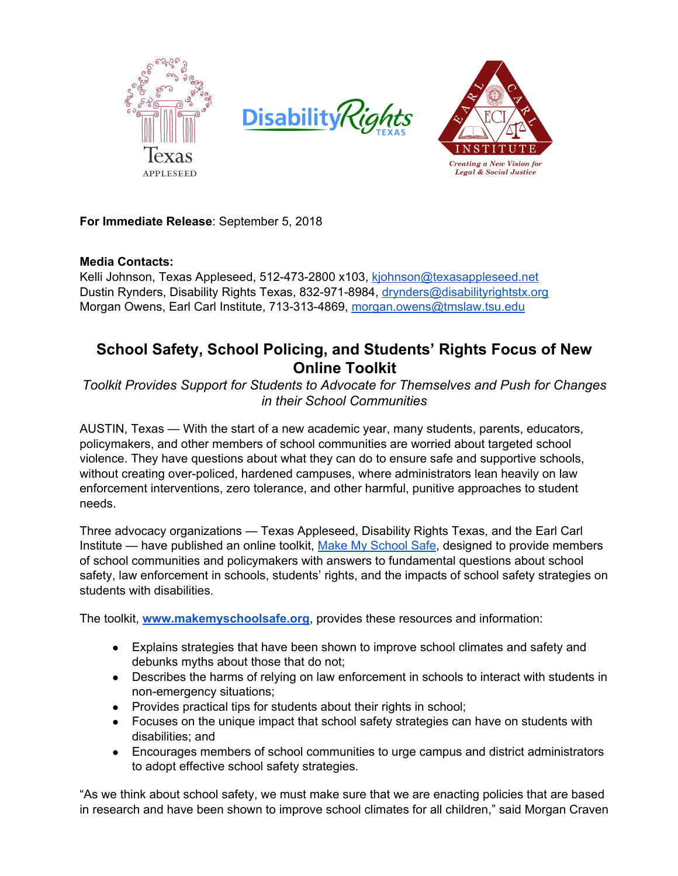





**For Immediate Release**: September 5, 2018

### **Media Contacts:**

Kelli Johnson, Texas Appleseed, 512-473-2800 x103, [kjohnson@texasappleseed.net](mailto:kjohnson@texasappleseed.net) Dustin Rynders, Disability Rights Texas, 832-971-8984, [drynders@disabilityrightstx.org](mailto:drynders@disabilityrightstx.org) Morgan Owens, Earl Carl Institute, 713-313-4869, [morgan.owens@tmslaw.tsu.edu](mailto:morgan.owens@tmslaw.tsu.edu)

# **School Safety, School Policing, and Students' Rights Focus of New Online Toolkit**

*Toolkit Provides Support for Students to Advocate for Themselves and Push for Changes in their School Communities*

AUSTIN, Texas — With the start of a new academic year, many students, parents, educators, policymakers, and other members of school communities are worried about targeted school violence. They have questions about what they can do to ensure safe and supportive schools, without creating over-policed, hardened campuses, where administrators lean heavily on law enforcement interventions, zero tolerance, and other harmful, punitive approaches to student needs.

Three advocacy organizations — Texas Appleseed, Disability Rights Texas, and the Earl Carl Institute — have published an online toolkit, Make My [School](http://makemyschoolsafe.org/) Safe, designed to provide members of school communities and policymakers with answers to fundamental questions about school safety, law enforcement in schools, students' rights, and the impacts of school safety strategies on students with disabilities.

The toolkit, **[www.makemyschoolsafe.org](http://www.makemyschoolsafe.org/)**, provides these resources and information:

- Explains strategies that have been shown to improve school climates and safety and debunks myths about those that do not;
- Describes the harms of relying on law enforcement in schools to interact with students in non-emergency situations;
- Provides practical tips for students about their rights in school;
- Focuses on the unique impact that school safety strategies can have on students with disabilities; and
- Encourages members of school communities to urge campus and district administrators to adopt effective school safety strategies.

"As we think about school safety, we must make sure that we are enacting policies that are based in research and have been shown to improve school climates for all children," said Morgan Craven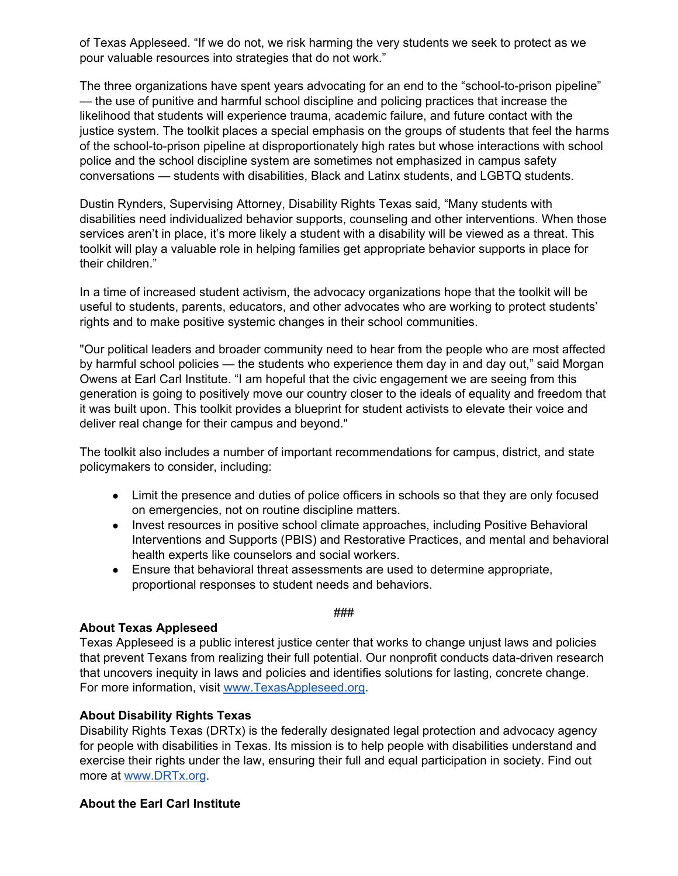of Texas Appleseed. "If we do not, we risk harming the very students we seek to protect as we pour valuable resources into strategies that do not work."

The three organizations have spent years advocating for an end to the "school-to-prison pipeline" — the use of punitive and harmful school discipline and policing practices that increase the likelihood that students will experience trauma, academic failure, and future contact with the justice system. The toolkit places a special emphasis on the groups of students that feel the harms of the school-to-prison pipeline at disproportionately high rates but whose interactions with school police and the school discipline system are sometimes not emphasized in campus safety conversations — students with disabilities, Black and Latinx students, and LGBTQ students.

Dustin Rynders, Supervising Attorney, Disability Rights Texas said, "Many students with disabilities need individualized behavior supports, counseling and other interventions. When those services aren't in place, it's more likely a student with a disability will be viewed as a threat. This toolkit will play a valuable role in helping families get appropriate behavior supports in place for their children."

In a time of increased student activism, the advocacy organizations hope that the toolkit will be useful to students, parents, educators, and other advocates who are working to protect students' rights and to make positive systemic changes in their school communities.

"Our political leaders and broader community need to hear from the people who are most affected by harmful school policies — the students who experience them day in and day out," said Morgan Owens at Earl Carl Institute. "I am hopeful that the civic engagement we are seeing from this generation is going to positively move our country closer to the ideals of equality and freedom that it was built upon. This toolkit provides a blueprint for student activists to elevate their voice and deliver real change for their campus and beyond."

The toolkit also includes a number of important recommendations for campus, district, and state policymakers to consider, including:

- Limit the presence and duties of police officers in schools so that they are only focused on emergencies, not on routine discipline matters.
- Invest resources in positive school climate approaches, including Positive Behavioral Interventions and Supports (PBIS) and Restorative Practices, and mental and behavioral health experts like counselors and social workers.
- Ensure that behavioral threat assessments are used to determine appropriate, proportional responses to student needs and behaviors.

###

#### **About Texas Appleseed**

Texas Appleseed is a public interest justice center that works to change unjust laws and policies that prevent Texans from realizing their full potential. Our nonprofit conducts data-driven research that uncovers inequity in laws and policies and identifies solutions for lasting, concrete change. For more information, visit [www.TexasAppleseed.org.](http://www.texasappleseed.org/)

#### **About Disability Rights Texas**

Disability Rights Texas (DRTx) is the federally designated legal protection and advocacy agency for people with disabilities in Texas. Its mission is to help people with disabilities understand and exercise their rights under the law, ensuring their full and equal participation in society. Find out more at [www.DRTx.org](http://www.drtx.org/).

## **About the Earl Carl Institute**